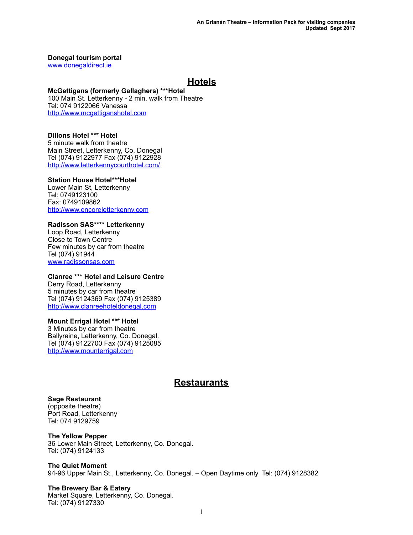### **Donegal tourism portal**

[www.donegaldirect.ie](http://www.donegaldirect.ie/)

## **Hotels**

### **McGettigans (formerly Gallaghers) \*\*\*Hotel**

100 Main St. Letterkenny - 2 min. walk from Theatre Tel: 074 9122066 Vanessa <http://www.mcgettiganshotel.com>

### **Dillons Hotel \*\*\* Hotel**

5 minute walk from theatre Main Street, Letterkenny, Co. Donegal Tel (074) 9122977 Fax (074) 9122928 <http://www.letterkennycourthotel.com/>

### **Station House Hotel\*\*\*Hotel**

Lower Main St, Letterkenny Tel: 0749123100 Fax: 0749109862 [http://www.encoreletterkenny.com](http://www.encoreletterkenny.com/)

## **Radisson SAS\*\*\*\* Letterkenny**

Loop Road, Letterkenny Close to Town Centre Few minutes by car from theatre Tel (074) 91944 [www.radissonsas.com](http://www.radissonsas.com/)

### **Clanree \*\*\* Hotel and Leisure Centre**

Derry Road, Letterkenny 5 minutes by car from theatre Tel (074) 9124369 Fax (074) 9125389 [http://www.clanreehoteldonegal.com](http://www.clanreehoteldonegal.com/)

### **Mount Errigal Hotel \*\*\* Hotel**

3 Minutes by car from theatre Ballyraine, Letterkenny, Co. Donegal. Tel (074) 9122700 Fax (074) 9125085 [http://www.mounterrigal.com](http://www.mounterrigal.com/)

## **Restaurants**

### **Sage Restaurant**

(opposite theatre) Port Road, Letterkenny Tel: 074 9129759

# **The Yellow Pepper**

36 Lower Main Street, Letterkenny, Co. Donegal. Tel: (074) 9124133

### **The Quiet Moment**  94-96 Upper Main St., Letterkenny, Co. Donegal. – Open Daytime only Tel: (074) 9128382

**The Brewery Bar & Eatery**  Market Square, Letterkenny, Co. Donegal. Tel: (074) 9127330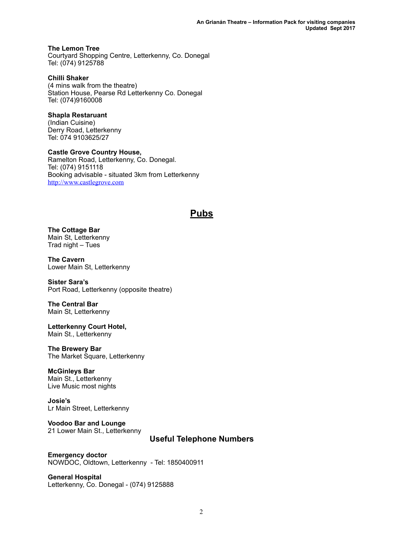**The Lemon Tree**  Courtyard Shopping Centre, Letterkenny, Co. Donegal Tel: (074) 9125788

**Chilli Shaker**  (4 mins walk from the theatre) Station House, Pearse Rd Letterkenny Co. Donegal Tel: (074)9160008

**Shapla Restaruant**  (Indian Cuisine) Derry Road, Letterkenny Tel: 074 9103625/27

**Castle Grove Country House,**  Ramelton Road, Letterkenny, Co. Donegal. Tel: (074) 9151118 Booking advisable - situated 3km from Letterkenny <http://www.castlegrove.com>

## **Pubs**

**The Cottage Bar**  Main St, Letterkenny Trad night – Tues

**The Cavern**  Lower Main St, Letterkenny

**Sister Sara's**  Port Road, Letterkenny (opposite theatre)

**The Central Bar**  Main St, Letterkenny

**Letterkenny Court Hotel,**  Main St., Letterkenny

**The Brewery Bar**  The Market Square, Letterkenny

### **McGinleys Bar**

Main St., Letterkenny Live Music most nights

**Josie's**  Lr Main Street, Letterkenny

**Voodoo Bar and Lounge**  21 Lower Main St., Letterkenny

### **Useful Telephone Numbers**

**Emergency doctor**  NOWDOC, Oldtown, Letterkenny - Tel: 1850400911

**General Hospital**  Letterkenny, Co. Donegal - (074) 9125888